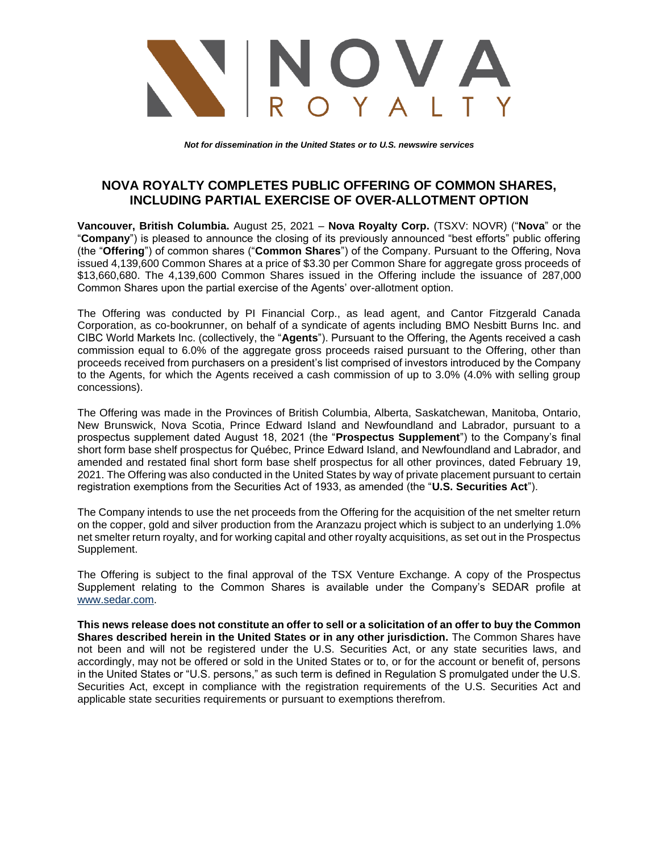

*Not for dissemination in the United States or to U.S. newswire services*

## **NOVA ROYALTY COMPLETES PUBLIC OFFERING OF COMMON SHARES, INCLUDING PARTIAL EXERCISE OF OVER-ALLOTMENT OPTION**

**Vancouver, British Columbia.** August 25, 2021 – **Nova Royalty Corp.** (TSXV: NOVR) ("**Nova**" or the "**Company**") is pleased to announce the closing of its previously announced "best efforts" public offering (the "**Offering**") of common shares ("**Common Shares**") of the Company. Pursuant to the Offering, Nova issued 4,139,600 Common Shares at a price of \$3.30 per Common Share for aggregate gross proceeds of \$13,660,680. The 4,139,600 Common Shares issued in the Offering include the issuance of 287,000 Common Shares upon the partial exercise of the Agents' over-allotment option.

The Offering was conducted by PI Financial Corp., as lead agent, and Cantor Fitzgerald Canada Corporation, as co-bookrunner, on behalf of a syndicate of agents including BMO Nesbitt Burns Inc. and CIBC World Markets Inc. (collectively, the "**Agents**"). Pursuant to the Offering, the Agents received a cash commission equal to 6.0% of the aggregate gross proceeds raised pursuant to the Offering, other than proceeds received from purchasers on a president's list comprised of investors introduced by the Company to the Agents, for which the Agents received a cash commission of up to 3.0% (4.0% with selling group concessions).

The Offering was made in the Provinces of British Columbia, Alberta, Saskatchewan, Manitoba, Ontario, New Brunswick, Nova Scotia, Prince Edward Island and Newfoundland and Labrador, pursuant to a prospectus supplement dated August 18, 2021 (the "**Prospectus Supplement**") to the Company's final short form base shelf prospectus for Québec, Prince Edward Island, and Newfoundland and Labrador, and amended and restated final short form base shelf prospectus for all other provinces, dated February 19, 2021. The Offering was also conducted in the United States by way of private placement pursuant to certain registration exemptions from the Securities Act of 1933, as amended (the "**U.S. Securities Act**").

The Company intends to use the net proceeds from the Offering for the acquisition of the net smelter return on the copper, gold and silver production from the Aranzazu project which is subject to an underlying 1.0% net smelter return royalty, and for working capital and other royalty acquisitions, as set out in the Prospectus Supplement.

The Offering is subject to the final approval of the TSX Venture Exchange. A copy of the Prospectus Supplement relating to the Common Shares is available under the Company's SEDAR profile at [www.sedar.com.](http://www.sedar.com/)

**This news release does not constitute an offer to sell or a solicitation of an offer to buy the Common Shares described herein in the United States or in any other jurisdiction.** The Common Shares have not been and will not be registered under the U.S. Securities Act, or any state securities laws, and accordingly, may not be offered or sold in the United States or to, or for the account or benefit of, persons in the United States or "U.S. persons," as such term is defined in Regulation S promulgated under the U.S. Securities Act, except in compliance with the registration requirements of the U.S. Securities Act and applicable state securities requirements or pursuant to exemptions therefrom.